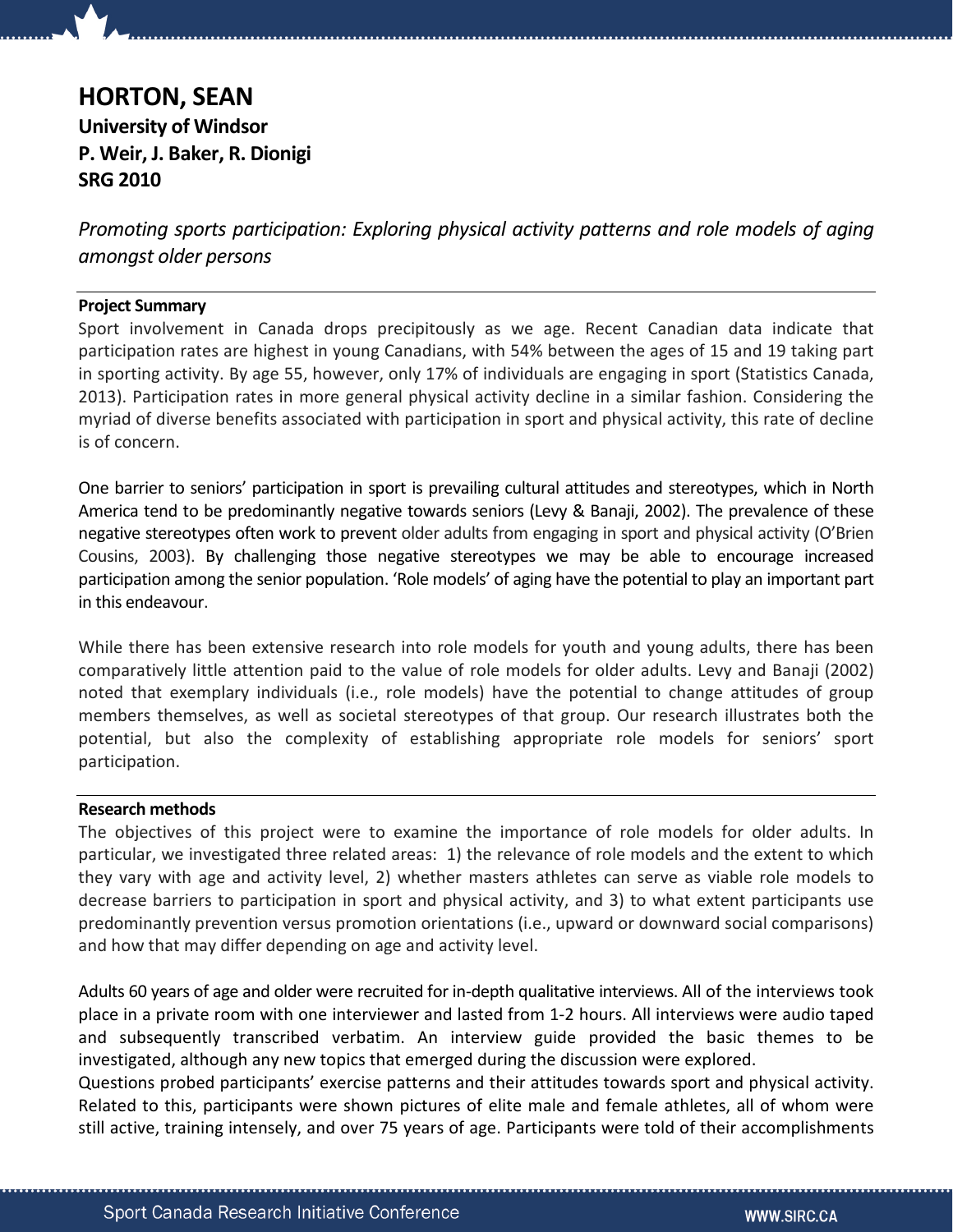# HORTON, SEAN University of Windsor P. Weir, J. Baker, R. Dionigi SRG 2010

Promoting sports participation: Exploring physical activity patterns and role models of aging amongst older persons

## Project Summary

Sport involvement in Canada drops precipitously as we age. Recent Canadian data indicate that participation rates are highest in young Canadians, with 54% between the ages of 15 and 19 taking part in sporting activity. By age 55, however, only 17% of individuals are engaging in sport (Statistics Canada, 2013). Participation rates in more general physical activity decline in a similar fashion. Considering the myriad of diverse benefits associated with participation in sport and physical activity, this rate of decline is of concern.

One barrier to seniors' participation in sport is prevailing cultural attitudes and stereotypes, which in North America tend to be predominantly negative towards seniors (Levy & Banaji, 2002). The prevalence of these negative stereotypes often work to prevent older adults from engaging in sport and physical activity (O'Brien Cousins, 2003). By challenging those negative stereotypes we may be able to encourage increased participation among the senior population. 'Role models' of aging have the potential to play an important part in this endeavour.

While there has been extensive research into role models for youth and young adults, there has been comparatively little attention paid to the value of role models for older adults. Levy and Banaji (2002) noted that exemplary individuals (i.e., role models) have the potential to change attitudes of group members themselves, as well as societal stereotypes of that group. Our research illustrates both the potential, but also the complexity of establishing appropriate role models for seniors' sport participation.

## Research methods

The objectives of this project were to examine the importance of role models for older adults. In particular, we investigated three related areas: 1) the relevance of role models and the extent to which they vary with age and activity level, 2) whether masters athletes can serve as viable role models to decrease barriers to participation in sport and physical activity, and 3) to what extent participants use predominantly prevention versus promotion orientations (i.e., upward or downward social comparisons) and how that may differ depending on age and activity level.

Adults 60 years of age and older were recruited for in-depth qualitative interviews. All of the interviews took place in a private room with one interviewer and lasted from 1-2 hours. All interviews were audio taped and subsequently transcribed verbatim. An interview guide provided the basic themes to be investigated, although any new topics that emerged during the discussion were explored.

Questions probed participants' exercise patterns and their attitudes towards sport and physical activity. Related to this, participants were shown pictures of elite male and female athletes, all of whom were still active, training intensely, and over 75 years of age. Participants were told of their accomplishments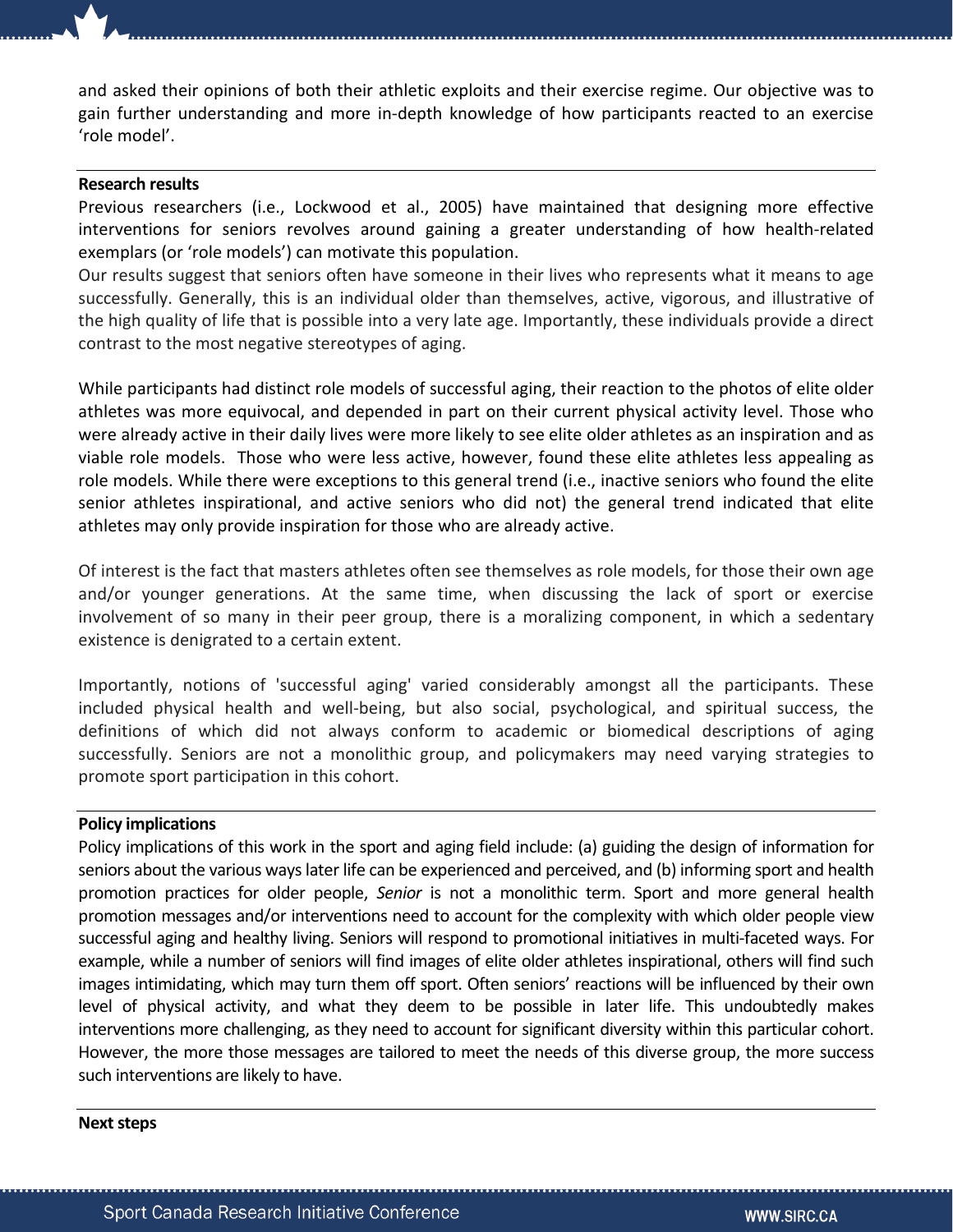and asked their opinions of both their athletic exploits and their exercise regime. Our objective was to gain further understanding and more in-depth knowledge of how participants reacted to an exercise 'role model'.

#### Research results

Previous researchers (i.e., Lockwood et al., 2005) have maintained that designing more effective interventions for seniors revolves around gaining a greater understanding of how health-related exemplars (or 'role models') can motivate this population.

Our results suggest that seniors often have someone in their lives who represents what it means to age successfully. Generally, this is an individual older than themselves, active, vigorous, and illustrative of the high quality of life that is possible into a very late age. Importantly, these individuals provide a direct contrast to the most negative stereotypes of aging.

While participants had distinct role models of successful aging, their reaction to the photos of elite older athletes was more equivocal, and depended in part on their current physical activity level. Those who were already active in their daily lives were more likely to see elite older athletes as an inspiration and as viable role models. Those who were less active, however, found these elite athletes less appealing as role models. While there were exceptions to this general trend (i.e., inactive seniors who found the elite senior athletes inspirational, and active seniors who did not) the general trend indicated that elite athletes may only provide inspiration for those who are already active.

Of interest is the fact that masters athletes often see themselves as role models, for those their own age and/or younger generations. At the same time, when discussing the lack of sport or exercise involvement of so many in their peer group, there is a moralizing component, in which a sedentary existence is denigrated to a certain extent.

Importantly, notions of 'successful aging' varied considerably amongst all the participants. These included physical health and well-being, but also social, psychological, and spiritual success, the definitions of which did not always conform to academic or biomedical descriptions of aging successfully. Seniors are not a monolithic group, and policymakers may need varying strategies to promote sport participation in this cohort.

#### Policy implications

Policy implications of this work in the sport and aging field include: (a) guiding the design of information for seniors about the various ways later life can be experienced and perceived, and (b) informing sport and health promotion practices for older people, Senior is not a monolithic term. Sport and more general health promotion messages and/or interventions need to account for the complexity with which older people view successful aging and healthy living. Seniors will respond to promotional initiatives in multi-faceted ways. For example, while a number of seniors will find images of elite older athletes inspirational, others will find such images intimidating, which may turn them off sport. Often seniors' reactions will be influenced by their own level of physical activity, and what they deem to be possible in later life. This undoubtedly makes interventions more challenging, as they need to account for significant diversity within this particular cohort. However, the more those messages are tailored to meet the needs of this diverse group, the more success such interventions are likely to have.

#### Next steps